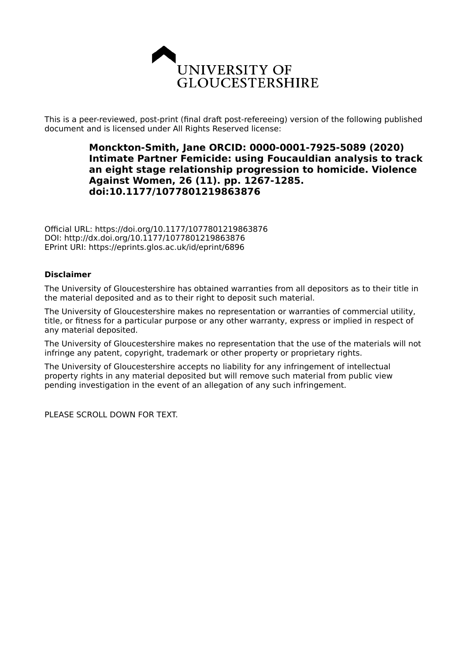

This is a peer-reviewed, post-print (final draft post-refereeing) version of the following published document and is licensed under All Rights Reserved license:

## **Monckton-Smith, Jane ORCID: 0000-0001-7925-5089 (2020) Intimate Partner Femicide: using Foucauldian analysis to track an eight stage relationship progression to homicide. Violence Against Women, 26 (11). pp. 1267-1285. doi:10.1177/1077801219863876**

Official URL: https://doi.org/10.1177/1077801219863876 DOI: http://dx.doi.org/10.1177/1077801219863876 EPrint URI: https://eprints.glos.ac.uk/id/eprint/6896

## **Disclaimer**

The University of Gloucestershire has obtained warranties from all depositors as to their title in the material deposited and as to their right to deposit such material.

The University of Gloucestershire makes no representation or warranties of commercial utility, title, or fitness for a particular purpose or any other warranty, express or implied in respect of any material deposited.

The University of Gloucestershire makes no representation that the use of the materials will not infringe any patent, copyright, trademark or other property or proprietary rights.

The University of Gloucestershire accepts no liability for any infringement of intellectual property rights in any material deposited but will remove such material from public view pending investigation in the event of an allegation of any such infringement.

PLEASE SCROLL DOWN FOR TEXT.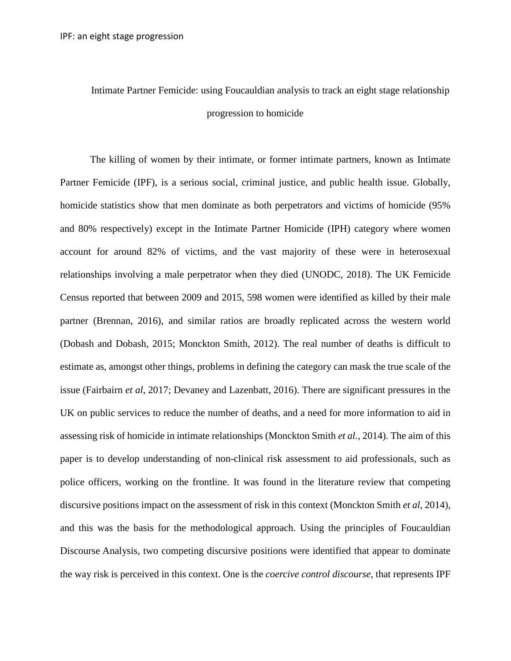# Intimate Partner Femicide: using Foucauldian analysis to track an eight stage relationship progression to homicide

The killing of women by their intimate, or former intimate partners, known as Intimate Partner Femicide (IPF), is a serious social, criminal justice, and public health issue. Globally, homicide statistics show that men dominate as both perpetrators and victims of homicide (95% and 80% respectively) except in the Intimate Partner Homicide (IPH) category where women account for around 82% of victims, and the vast majority of these were in heterosexual relationships involving a male perpetrator when they died (UNODC, 2018). The UK Femicide Census reported that between 2009 and 2015, 598 women were identified as killed by their male partner (Brennan, 2016), and similar ratios are broadly replicated across the western world (Dobash and Dobash, 2015; Monckton Smith, 2012). The real number of deaths is difficult to estimate as, amongst other things, problems in defining the category can mask the true scale of the issue (Fairbairn *et al*, 2017; Devaney and Lazenbatt*,* 2016). There are significant pressures in the UK on public services to reduce the number of deaths, and a need for more information to aid in assessing risk of homicide in intimate relationships (Monckton Smith *et al.,* 2014). The aim of this paper is to develop understanding of non-clinical risk assessment to aid professionals, such as police officers, working on the frontline. It was found in the literature review that competing discursive positions impact on the assessment of risk in this context (Monckton Smith *et al*, 2014), and this was the basis for the methodological approach. Using the principles of Foucauldian Discourse Analysis, two competing discursive positions were identified that appear to dominate the way risk is perceived in this context. One is the *coercive control discourse*, that represents IPF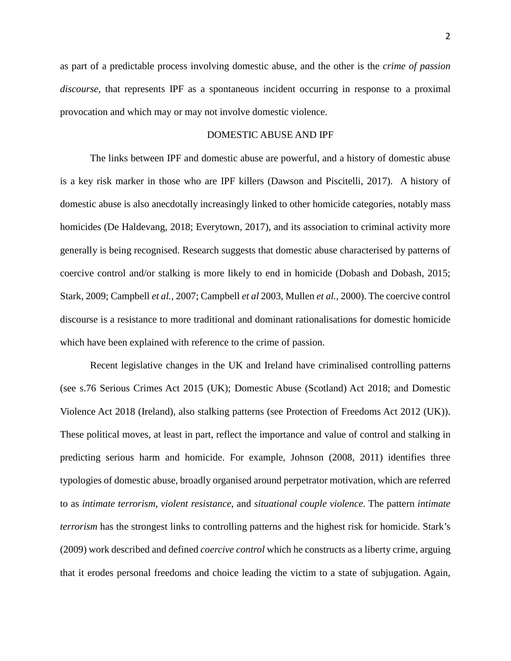as part of a predictable process involving domestic abuse, and the other is the *crime of passion discourse*, that represents IPF as a spontaneous incident occurring in response to a proximal provocation and which may or may not involve domestic violence.

#### DOMESTIC ABUSE AND IPF

The links between IPF and domestic abuse are powerful, and a history of domestic abuse is a key risk marker in those who are IPF killers (Dawson and Piscitelli, 2017). A history of domestic abuse is also anecdotally increasingly linked to other homicide categories, notably mass homicides (De Haldevang, 2018; Everytown, 2017), and its association to criminal activity more generally is being recognised. Research suggests that domestic abuse characterised by patterns of coercive control and/or stalking is more likely to end in homicide (Dobash and Dobash, 2015; Stark, 2009; Campbell *et al.,* 2007; Campbell *et al* 2003, Mullen *et al.,* 2000). The coercive control discourse is a resistance to more traditional and dominant rationalisations for domestic homicide which have been explained with reference to the crime of passion.

Recent legislative changes in the UK and Ireland have criminalised controlling patterns (see s.76 Serious Crimes Act 2015 (UK); Domestic Abuse (Scotland) Act 2018; and Domestic Violence Act 2018 (Ireland), also stalking patterns (see Protection of Freedoms Act 2012 (UK)). These political moves, at least in part, reflect the importance and value of control and stalking in predicting serious harm and homicide. For example, Johnson (2008, 2011) identifies three typologies of domestic abuse, broadly organised around perpetrator motivation, which are referred to as *intimate terrorism*, *violent resistance*, and *situational couple violence*. The pattern *intimate terrorism* has the strongest links to controlling patterns and the highest risk for homicide. Stark's (2009) work described and defined *coercive control* which he constructs as a liberty crime, arguing that it erodes personal freedoms and choice leading the victim to a state of subjugation. Again,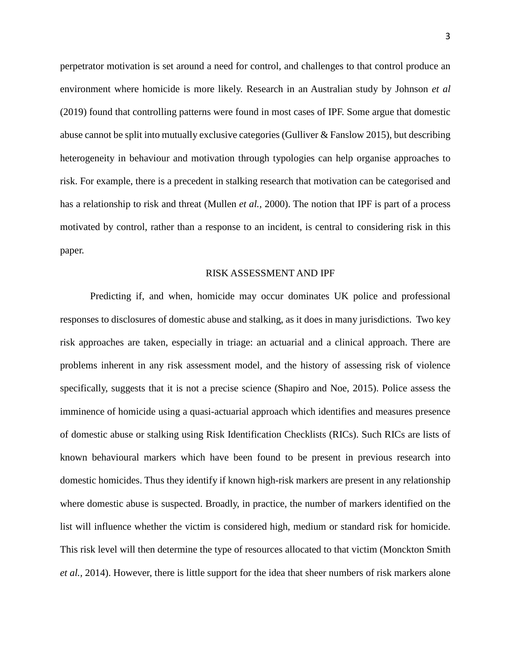perpetrator motivation is set around a need for control, and challenges to that control produce an environment where homicide is more likely. Research in an Australian study by Johnson *et al* (2019) found that controlling patterns were found in most cases of IPF. Some argue that domestic abuse cannot be split into mutually exclusive categories (Gulliver & Fanslow 2015), but describing heterogeneity in behaviour and motivation through typologies can help organise approaches to risk. For example, there is a precedent in stalking research that motivation can be categorised and has a relationship to risk and threat (Mullen *et al.,* 2000). The notion that IPF is part of a process motivated by control, rather than a response to an incident, is central to considering risk in this paper.

#### RISK ASSESSMENT AND IPF

Predicting if, and when, homicide may occur dominates UK police and professional responses to disclosures of domestic abuse and stalking, as it does in many jurisdictions. Two key risk approaches are taken, especially in triage: an actuarial and a clinical approach. There are problems inherent in any risk assessment model, and the history of assessing risk of violence specifically, suggests that it is not a precise science (Shapiro and Noe, 2015). Police assess the imminence of homicide using a quasi-actuarial approach which identifies and measures presence of domestic abuse or stalking using Risk Identification Checklists (RICs). Such RICs are lists of known behavioural markers which have been found to be present in previous research into domestic homicides. Thus they identify if known high-risk markers are present in any relationship where domestic abuse is suspected. Broadly, in practice, the number of markers identified on the list will influence whether the victim is considered high, medium or standard risk for homicide. This risk level will then determine the type of resources allocated to that victim (Monckton Smith *et al.,* 2014). However, there is little support for the idea that sheer numbers of risk markers alone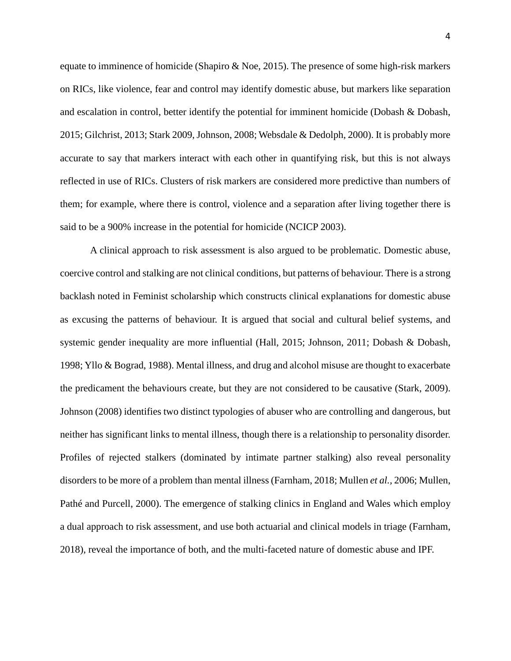equate to imminence of homicide (Shapiro & Noe, 2015). The presence of some high-risk markers on RICs, like violence, fear and control may identify domestic abuse, but markers like separation and escalation in control, better identify the potential for imminent homicide (Dobash & Dobash, 2015; Gilchrist, 2013; Stark 2009, Johnson, 2008; Websdale & Dedolph, 2000). It is probably more accurate to say that markers interact with each other in quantifying risk, but this is not always reflected in use of RICs. Clusters of risk markers are considered more predictive than numbers of them; for example, where there is control, violence and a separation after living together there is said to be a 900% increase in the potential for homicide (NCICP 2003).

A clinical approach to risk assessment is also argued to be problematic. Domestic abuse, coercive control and stalking are not clinical conditions, but patterns of behaviour. There is a strong backlash noted in Feminist scholarship which constructs clinical explanations for domestic abuse as excusing the patterns of behaviour. It is argued that social and cultural belief systems, and systemic gender inequality are more influential (Hall, 2015; Johnson, 2011; Dobash & Dobash, 1998; Yllo & Bograd, 1988). Mental illness, and drug and alcohol misuse are thought to exacerbate the predicament the behaviours create, but they are not considered to be causative (Stark, 2009). Johnson (2008) identifies two distinct typologies of abuser who are controlling and dangerous, but neither has significant links to mental illness, though there is a relationship to personality disorder. Profiles of rejected stalkers (dominated by intimate partner stalking) also reveal personality disorders to be more of a problem than mental illness (Farnham, 2018; Mullen *et al.,* 2006; Mullen, Pathé and Purcell, 2000). The emergence of stalking clinics in England and Wales which employ a dual approach to risk assessment, and use both actuarial and clinical models in triage (Farnham, 2018), reveal the importance of both, and the multi-faceted nature of domestic abuse and IPF.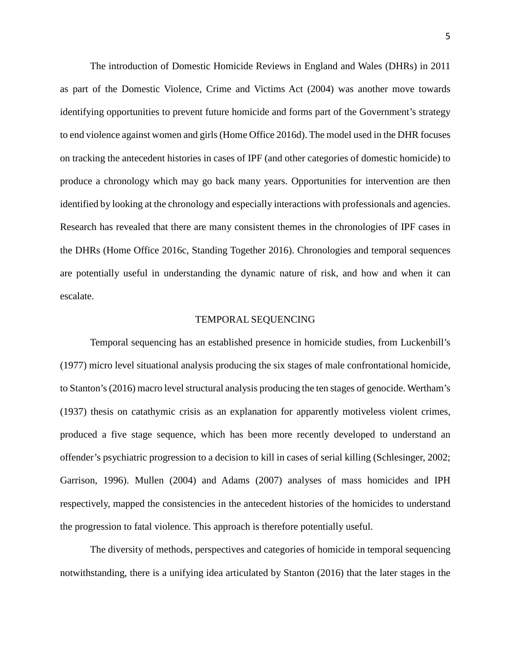The introduction of Domestic Homicide Reviews in England and Wales (DHRs) in 2011 as part of the Domestic Violence, Crime and Victims Act (2004) was another move towards identifying opportunities to prevent future homicide and forms part of the Government's strategy to end violence against women and girls (Home Office 2016d). The model used in the DHR focuses on tracking the antecedent histories in cases of IPF (and other categories of domestic homicide) to produce a chronology which may go back many years. Opportunities for intervention are then identified by looking at the chronology and especially interactions with professionals and agencies. Research has revealed that there are many consistent themes in the chronologies of IPF cases in the DHRs (Home Office 2016c, Standing Together 2016). Chronologies and temporal sequences are potentially useful in understanding the dynamic nature of risk, and how and when it can escalate.

#### TEMPORAL SEQUENCING

Temporal sequencing has an established presence in homicide studies, from Luckenbill's (1977) micro level situational analysis producing the six stages of male confrontational homicide, to Stanton's (2016) macro level structural analysis producing the ten stages of genocide. Wertham's (1937) thesis on catathymic crisis as an explanation for apparently motiveless violent crimes, produced a five stage sequence, which has been more recently developed to understand an offender's psychiatric progression to a decision to kill in cases of serial killing (Schlesinger, 2002; Garrison, 1996). Mullen (2004) and Adams (2007) analyses of mass homicides and IPH respectively, mapped the consistencies in the antecedent histories of the homicides to understand the progression to fatal violence. This approach is therefore potentially useful.

The diversity of methods, perspectives and categories of homicide in temporal sequencing notwithstanding, there is a unifying idea articulated by Stanton (2016) that the later stages in the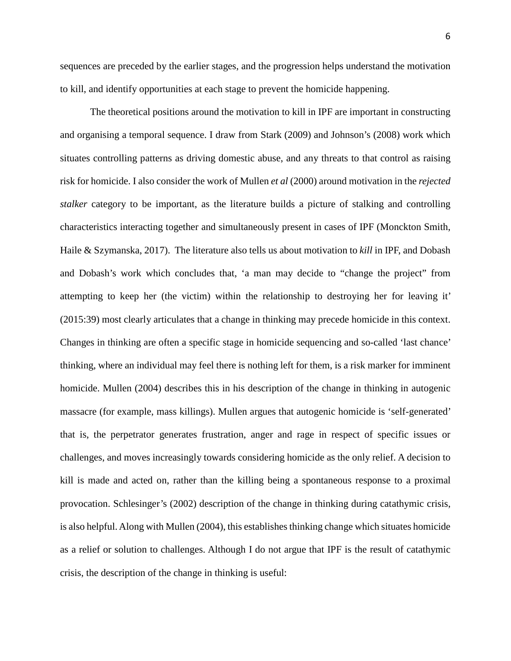sequences are preceded by the earlier stages, and the progression helps understand the motivation to kill, and identify opportunities at each stage to prevent the homicide happening.

The theoretical positions around the motivation to kill in IPF are important in constructing and organising a temporal sequence. I draw from Stark (2009) and Johnson's (2008) work which situates controlling patterns as driving domestic abuse, and any threats to that control as raising risk for homicide. I also consider the work of Mullen *et al* (2000) around motivation in the *rejected stalker* category to be important, as the literature builds a picture of stalking and controlling characteristics interacting together and simultaneously present in cases of IPF (Monckton Smith, Haile & Szymanska, 2017). The literature also tells us about motivation to *kill* in IPF, and Dobash and Dobash's work which concludes that, 'a man may decide to "change the project" from attempting to keep her (the victim) within the relationship to destroying her for leaving it' (2015:39) most clearly articulates that a change in thinking may precede homicide in this context. Changes in thinking are often a specific stage in homicide sequencing and so-called 'last chance' thinking, where an individual may feel there is nothing left for them, is a risk marker for imminent homicide. Mullen (2004) describes this in his description of the change in thinking in autogenic massacre (for example, mass killings). Mullen argues that autogenic homicide is 'self-generated' that is, the perpetrator generates frustration, anger and rage in respect of specific issues or challenges, and moves increasingly towards considering homicide as the only relief. A decision to kill is made and acted on, rather than the killing being a spontaneous response to a proximal provocation. Schlesinger's (2002) description of the change in thinking during catathymic crisis, is also helpful. Along with Mullen (2004), this establishes thinking change which situates homicide as a relief or solution to challenges. Although I do not argue that IPF is the result of catathymic crisis, the description of the change in thinking is useful: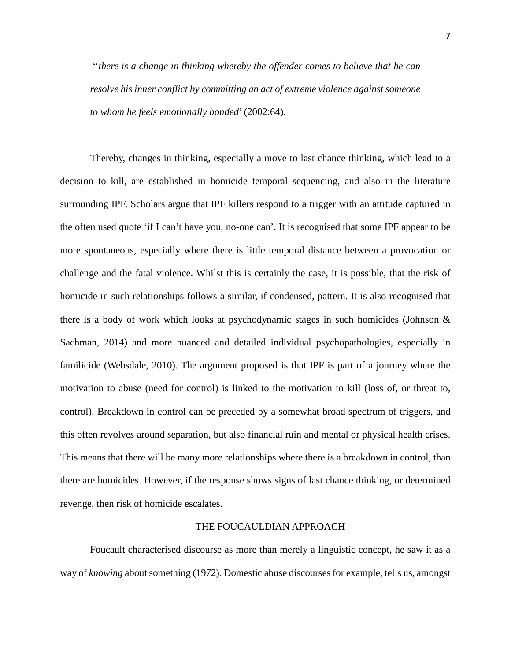''*there is a change in thinking whereby the offender comes to believe that he can resolve his inner conflict by committing an act of extreme violence against someone to whom he feels emotionally bonded*' (2002:64).

Thereby, changes in thinking, especially a move to last chance thinking, which lead to a decision to kill, are established in homicide temporal sequencing, and also in the literature surrounding IPF. Scholars argue that IPF killers respond to a trigger with an attitude captured in the often used quote 'if I can't have you, no-one can'. It is recognised that some IPF appear to be more spontaneous, especially where there is little temporal distance between a provocation or challenge and the fatal violence. Whilst this is certainly the case, it is possible, that the risk of homicide in such relationships follows a similar, if condensed, pattern. It is also recognised that there is a body of work which looks at psychodynamic stages in such homicides (Johnson & Sachman, 2014) and more nuanced and detailed individual psychopathologies, especially in familicide (Websdale, 2010). The argument proposed is that IPF is part of a journey where the motivation to abuse (need for control) is linked to the motivation to kill (loss of, or threat to, control). Breakdown in control can be preceded by a somewhat broad spectrum of triggers, and this often revolves around separation, but also financial ruin and mental or physical health crises. This means that there will be many more relationships where there is a breakdown in control, than there are homicides. However, if the response shows signs of last chance thinking, or determined revenge, then risk of homicide escalates.

### THE FOUCAULDIAN APPROACH

Foucault characterised discourse as more than merely a linguistic concept, he saw it as a way of *knowing* about something (1972). Domestic abuse discourses for example, tells us, amongst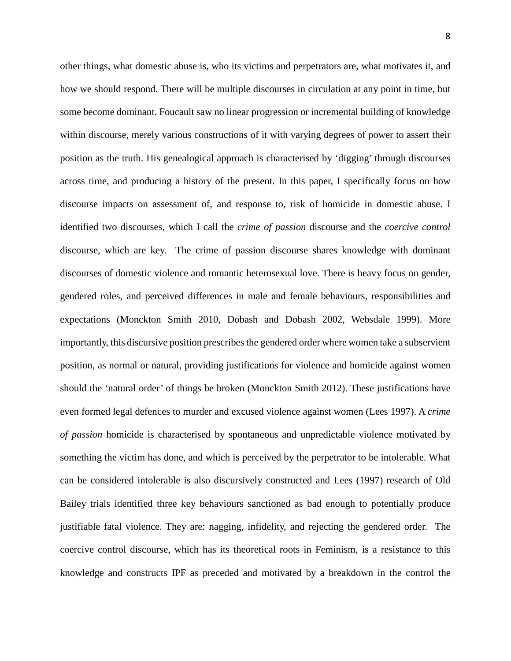other things, what domestic abuse is, who its victims and perpetrators are, what motivates it, and how we should respond. There will be multiple discourses in circulation at any point in time, but some become dominant. Foucault saw no linear progression or incremental building of knowledge within discourse, merely various constructions of it with varying degrees of power to assert their position as the truth. His genealogical approach is characterised by 'digging' through discourses across time, and producing a history of the present. In this paper, I specifically focus on how discourse impacts on assessment of, and response to, risk of homicide in domestic abuse. I identified two discourses, which I call the *crime of passion* discourse and the *coercive control* discourse, which are key. The crime of passion discourse shares knowledge with dominant discourses of domestic violence and romantic heterosexual love. There is heavy focus on gender, gendered roles, and perceived differences in male and female behaviours, responsibilities and expectations (Monckton Smith 2010, Dobash and Dobash 2002, Websdale 1999). More importantly, this discursive position prescribes the gendered order where women take a subservient position, as normal or natural, providing justifications for violence and homicide against women should the 'natural order' of things be broken (Monckton Smith 2012). These justifications have even formed legal defences to murder and excused violence against women (Lees 1997). A *crime of passion* homicide is characterised by spontaneous and unpredictable violence motivated by something the victim has done, and which is perceived by the perpetrator to be intolerable. What can be considered intolerable is also discursively constructed and Lees (1997) research of Old Bailey trials identified three key behaviours sanctioned as bad enough to potentially produce justifiable fatal violence. They are: nagging, infidelity, and rejecting the gendered order. The coercive control discourse, which has its theoretical roots in Feminism, is a resistance to this knowledge and constructs IPF as preceded and motivated by a breakdown in the control the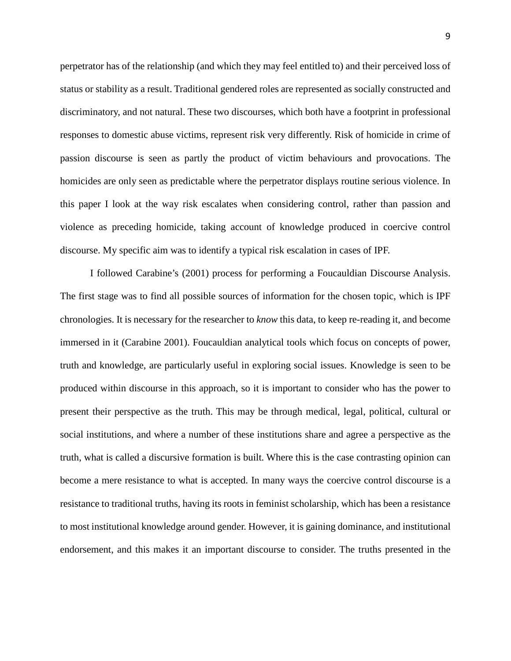perpetrator has of the relationship (and which they may feel entitled to) and their perceived loss of status or stability as a result. Traditional gendered roles are represented as socially constructed and discriminatory, and not natural. These two discourses, which both have a footprint in professional responses to domestic abuse victims, represent risk very differently. Risk of homicide in crime of passion discourse is seen as partly the product of victim behaviours and provocations. The homicides are only seen as predictable where the perpetrator displays routine serious violence. In this paper I look at the way risk escalates when considering control, rather than passion and violence as preceding homicide, taking account of knowledge produced in coercive control discourse. My specific aim was to identify a typical risk escalation in cases of IPF.

I followed Carabine's (2001) process for performing a Foucauldian Discourse Analysis. The first stage was to find all possible sources of information for the chosen topic, which is IPF chronologies. It is necessary for the researcher to *know* this data, to keep re-reading it, and become immersed in it (Carabine 2001). Foucauldian analytical tools which focus on concepts of power, truth and knowledge, are particularly useful in exploring social issues. Knowledge is seen to be produced within discourse in this approach, so it is important to consider who has the power to present their perspective as the truth. This may be through medical, legal, political, cultural or social institutions, and where a number of these institutions share and agree a perspective as the truth, what is called a discursive formation is built. Where this is the case contrasting opinion can become a mere resistance to what is accepted. In many ways the coercive control discourse is a resistance to traditional truths, having its roots in feminist scholarship, which has been a resistance to most institutional knowledge around gender. However, it is gaining dominance, and institutional endorsement, and this makes it an important discourse to consider. The truths presented in the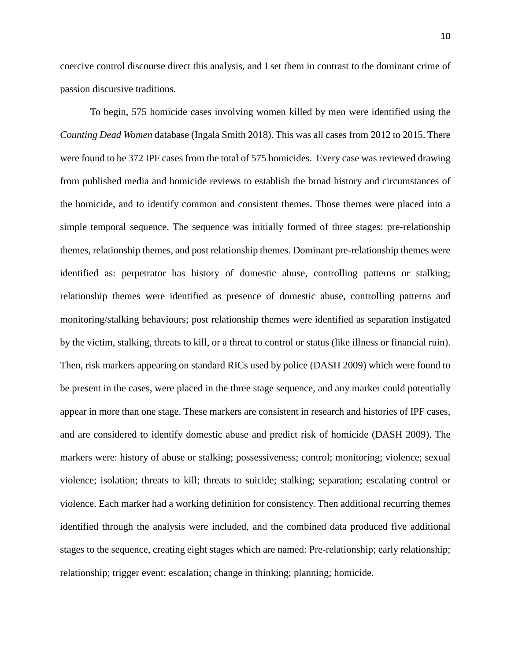coercive control discourse direct this analysis, and I set them in contrast to the dominant crime of passion discursive traditions.

To begin, 575 homicide cases involving women killed by men were identified using the *Counting Dead Women* database (Ingala Smith 2018). This was all cases from 2012 to 2015. There were found to be 372 IPF cases from the total of 575 homicides. Every case was reviewed drawing from published media and homicide reviews to establish the broad history and circumstances of the homicide, and to identify common and consistent themes. Those themes were placed into a simple temporal sequence. The sequence was initially formed of three stages: pre-relationship themes, relationship themes, and post relationship themes. Dominant pre-relationship themes were identified as: perpetrator has history of domestic abuse, controlling patterns or stalking; relationship themes were identified as presence of domestic abuse, controlling patterns and monitoring/stalking behaviours; post relationship themes were identified as separation instigated by the victim, stalking, threats to kill, or a threat to control or status (like illness or financial ruin). Then, risk markers appearing on standard RICs used by police (DASH 2009) which were found to be present in the cases, were placed in the three stage sequence, and any marker could potentially appear in more than one stage. These markers are consistent in research and histories of IPF cases, and are considered to identify domestic abuse and predict risk of homicide (DASH 2009). The markers were: history of abuse or stalking; possessiveness; control; monitoring; violence; sexual violence; isolation; threats to kill; threats to suicide; stalking; separation; escalating control or violence. Each marker had a working definition for consistency. Then additional recurring themes identified through the analysis were included, and the combined data produced five additional stages to the sequence, creating eight stages which are named: Pre-relationship; early relationship; relationship; trigger event; escalation; change in thinking; planning; homicide.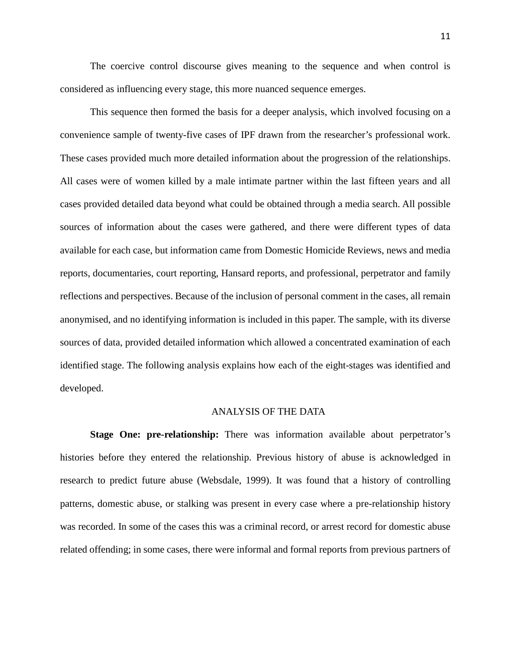The coercive control discourse gives meaning to the sequence and when control is considered as influencing every stage, this more nuanced sequence emerges.

This sequence then formed the basis for a deeper analysis, which involved focusing on a convenience sample of twenty-five cases of IPF drawn from the researcher's professional work. These cases provided much more detailed information about the progression of the relationships. All cases were of women killed by a male intimate partner within the last fifteen years and all cases provided detailed data beyond what could be obtained through a media search. All possible sources of information about the cases were gathered, and there were different types of data available for each case, but information came from Domestic Homicide Reviews, news and media reports, documentaries, court reporting, Hansard reports, and professional, perpetrator and family reflections and perspectives. Because of the inclusion of personal comment in the cases, all remain anonymised, and no identifying information is included in this paper. The sample, with its diverse sources of data, provided detailed information which allowed a concentrated examination of each identified stage. The following analysis explains how each of the eight-stages was identified and developed.

#### ANALYSIS OF THE DATA

**Stage One: pre-relationship:** There was information available about perpetrator's histories before they entered the relationship. Previous history of abuse is acknowledged in research to predict future abuse (Websdale, 1999). It was found that a history of controlling patterns, domestic abuse, or stalking was present in every case where a pre-relationship history was recorded. In some of the cases this was a criminal record, or arrest record for domestic abuse related offending; in some cases, there were informal and formal reports from previous partners of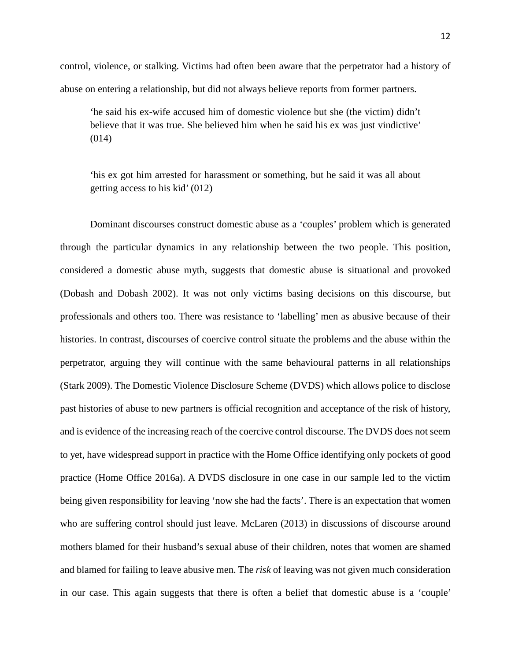control, violence, or stalking. Victims had often been aware that the perpetrator had a history of abuse on entering a relationship, but did not always believe reports from former partners.

'he said his ex-wife accused him of domestic violence but she (the victim) didn't believe that it was true. She believed him when he said his ex was just vindictive' (014)

'his ex got him arrested for harassment or something, but he said it was all about getting access to his kid' (012)

Dominant discourses construct domestic abuse as a 'couples' problem which is generated through the particular dynamics in any relationship between the two people. This position, considered a domestic abuse myth, suggests that domestic abuse is situational and provoked (Dobash and Dobash 2002). It was not only victims basing decisions on this discourse, but professionals and others too. There was resistance to 'labelling' men as abusive because of their histories. In contrast, discourses of coercive control situate the problems and the abuse within the perpetrator, arguing they will continue with the same behavioural patterns in all relationships (Stark 2009). The Domestic Violence Disclosure Scheme (DVDS) which allows police to disclose past histories of abuse to new partners is official recognition and acceptance of the risk of history, and is evidence of the increasing reach of the coercive control discourse. The DVDS does not seem to yet, have widespread support in practice with the Home Office identifying only pockets of good practice (Home Office 2016a). A DVDS disclosure in one case in our sample led to the victim being given responsibility for leaving 'now she had the facts'. There is an expectation that women who are suffering control should just leave. McLaren (2013) in discussions of discourse around mothers blamed for their husband's sexual abuse of their children, notes that women are shamed and blamed for failing to leave abusive men. The *risk* of leaving was not given much consideration in our case. This again suggests that there is often a belief that domestic abuse is a 'couple'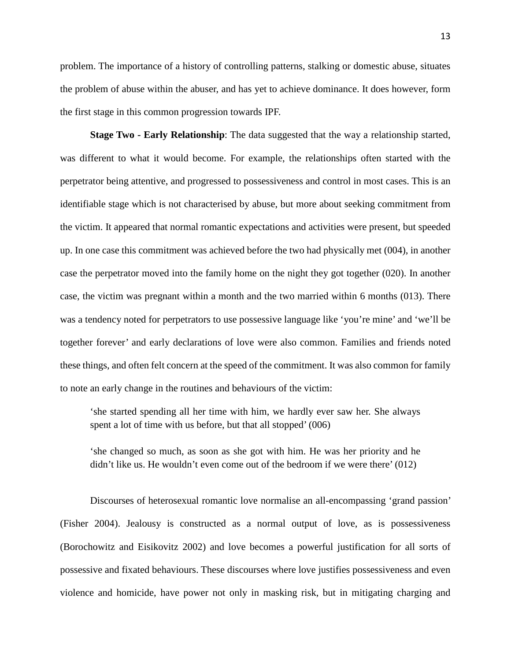problem. The importance of a history of controlling patterns, stalking or domestic abuse, situates the problem of abuse within the abuser, and has yet to achieve dominance. It does however, form the first stage in this common progression towards IPF.

**Stage Two - Early Relationship**: The data suggested that the way a relationship started, was different to what it would become. For example, the relationships often started with the perpetrator being attentive, and progressed to possessiveness and control in most cases. This is an identifiable stage which is not characterised by abuse, but more about seeking commitment from the victim. It appeared that normal romantic expectations and activities were present, but speeded up. In one case this commitment was achieved before the two had physically met (004), in another case the perpetrator moved into the family home on the night they got together (020). In another case, the victim was pregnant within a month and the two married within 6 months (013). There was a tendency noted for perpetrators to use possessive language like 'you're mine' and 'we'll be together forever' and early declarations of love were also common. Families and friends noted these things, and often felt concern at the speed of the commitment. It was also common for family to note an early change in the routines and behaviours of the victim:

'she started spending all her time with him, we hardly ever saw her. She always spent a lot of time with us before, but that all stopped' (006)

'she changed so much, as soon as she got with him. He was her priority and he didn't like us. He wouldn't even come out of the bedroom if we were there' (012)

Discourses of heterosexual romantic love normalise an all-encompassing 'grand passion' (Fisher 2004). Jealousy is constructed as a normal output of love, as is possessiveness (Borochowitz and Eisikovitz 2002) and love becomes a powerful justification for all sorts of possessive and fixated behaviours. These discourses where love justifies possessiveness and even violence and homicide, have power not only in masking risk, but in mitigating charging and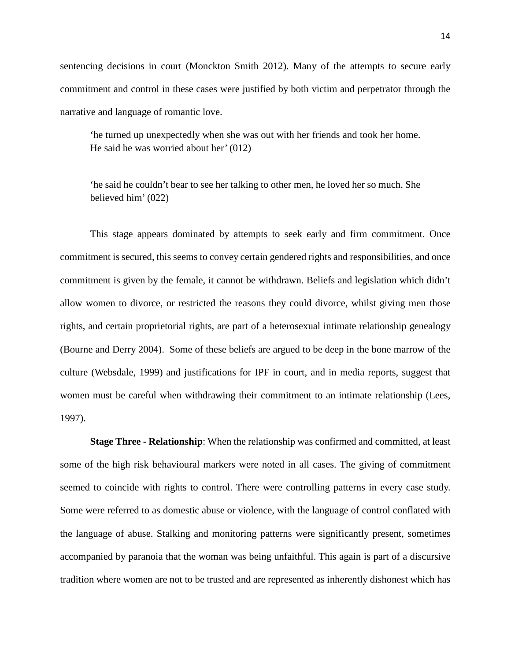sentencing decisions in court (Monckton Smith 2012). Many of the attempts to secure early commitment and control in these cases were justified by both victim and perpetrator through the narrative and language of romantic love.

'he turned up unexpectedly when she was out with her friends and took her home. He said he was worried about her' (012)

'he said he couldn't bear to see her talking to other men, he loved her so much. She believed him' (022)

This stage appears dominated by attempts to seek early and firm commitment. Once commitment is secured, this seems to convey certain gendered rights and responsibilities, and once commitment is given by the female, it cannot be withdrawn. Beliefs and legislation which didn't allow women to divorce, or restricted the reasons they could divorce, whilst giving men those rights, and certain proprietorial rights, are part of a heterosexual intimate relationship genealogy (Bourne and Derry 2004). Some of these beliefs are argued to be deep in the bone marrow of the culture (Websdale, 1999) and justifications for IPF in court, and in media reports, suggest that women must be careful when withdrawing their commitment to an intimate relationship (Lees, 1997).

**Stage Three - Relationship**: When the relationship was confirmed and committed, at least some of the high risk behavioural markers were noted in all cases. The giving of commitment seemed to coincide with rights to control. There were controlling patterns in every case study. Some were referred to as domestic abuse or violence, with the language of control conflated with the language of abuse. Stalking and monitoring patterns were significantly present, sometimes accompanied by paranoia that the woman was being unfaithful. This again is part of a discursive tradition where women are not to be trusted and are represented as inherently dishonest which has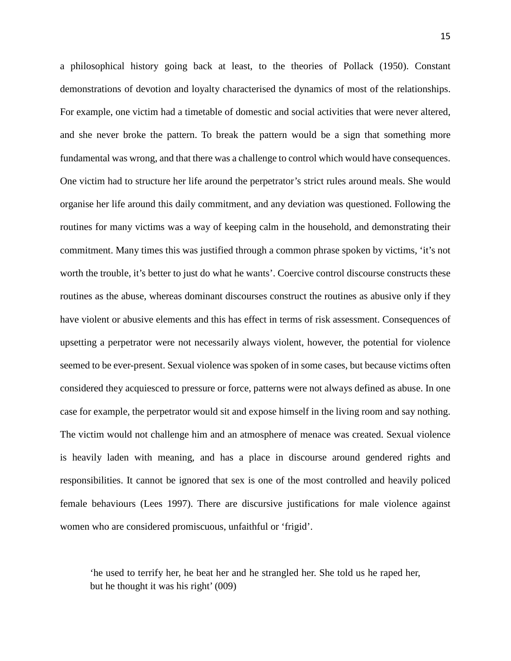a philosophical history going back at least, to the theories of Pollack (1950). Constant demonstrations of devotion and loyalty characterised the dynamics of most of the relationships. For example, one victim had a timetable of domestic and social activities that were never altered, and she never broke the pattern. To break the pattern would be a sign that something more fundamental was wrong, and that there was a challenge to control which would have consequences. One victim had to structure her life around the perpetrator's strict rules around meals. She would organise her life around this daily commitment, and any deviation was questioned. Following the routines for many victims was a way of keeping calm in the household, and demonstrating their commitment. Many times this was justified through a common phrase spoken by victims, 'it's not worth the trouble, it's better to just do what he wants'. Coercive control discourse constructs these routines as the abuse, whereas dominant discourses construct the routines as abusive only if they have violent or abusive elements and this has effect in terms of risk assessment. Consequences of upsetting a perpetrator were not necessarily always violent, however, the potential for violence seemed to be ever-present. Sexual violence was spoken of in some cases, but because victims often considered they acquiesced to pressure or force, patterns were not always defined as abuse. In one case for example, the perpetrator would sit and expose himself in the living room and say nothing. The victim would not challenge him and an atmosphere of menace was created. Sexual violence is heavily laden with meaning, and has a place in discourse around gendered rights and responsibilities. It cannot be ignored that sex is one of the most controlled and heavily policed female behaviours (Lees 1997). There are discursive justifications for male violence against women who are considered promiscuous, unfaithful or 'frigid'.

'he used to terrify her, he beat her and he strangled her. She told us he raped her, but he thought it was his right' (009)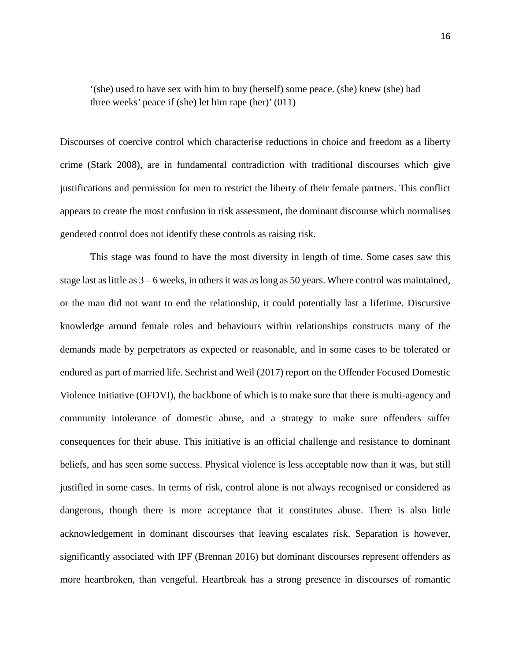'(she) used to have sex with him to buy (herself) some peace. (she) knew (she) had three weeks' peace if (she) let him rape (her)' (011)

Discourses of coercive control which characterise reductions in choice and freedom as a liberty crime (Stark 2008), are in fundamental contradiction with traditional discourses which give justifications and permission for men to restrict the liberty of their female partners. This conflict appears to create the most confusion in risk assessment, the dominant discourse which normalises gendered control does not identify these controls as raising risk.

This stage was found to have the most diversity in length of time. Some cases saw this stage last as little as 3 – 6 weeks, in others it was as long as 50 years. Where control was maintained, or the man did not want to end the relationship, it could potentially last a lifetime. Discursive knowledge around female roles and behaviours within relationships constructs many of the demands made by perpetrators as expected or reasonable, and in some cases to be tolerated or endured as part of married life. Sechrist and Weil (2017) report on the Offender Focused Domestic Violence Initiative (OFDVI), the backbone of which is to make sure that there is multi-agency and community intolerance of domestic abuse, and a strategy to make sure offenders suffer consequences for their abuse. This initiative is an official challenge and resistance to dominant beliefs, and has seen some success. Physical violence is less acceptable now than it was, but still justified in some cases. In terms of risk, control alone is not always recognised or considered as dangerous, though there is more acceptance that it constitutes abuse. There is also little acknowledgement in dominant discourses that leaving escalates risk. Separation is however, significantly associated with IPF (Brennan 2016) but dominant discourses represent offenders as more heartbroken, than vengeful. Heartbreak has a strong presence in discourses of romantic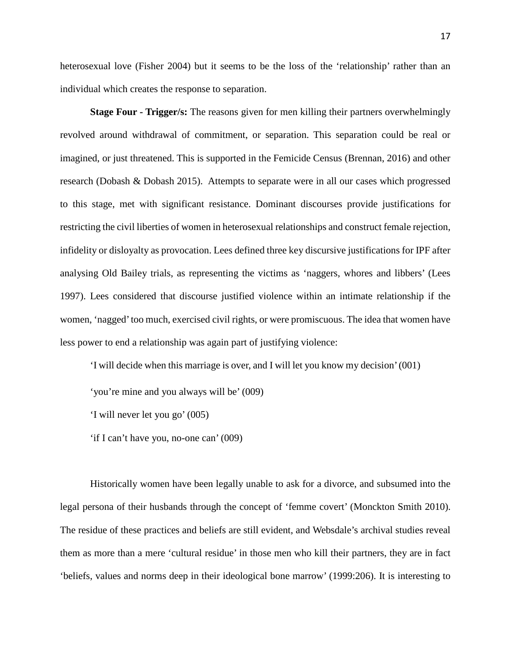heterosexual love (Fisher 2004) but it seems to be the loss of the 'relationship' rather than an individual which creates the response to separation.

**Stage Four - Trigger/s:** The reasons given for men killing their partners overwhelmingly revolved around withdrawal of commitment, or separation. This separation could be real or imagined, or just threatened. This is supported in the Femicide Census (Brennan, 2016) and other research (Dobash & Dobash 2015). Attempts to separate were in all our cases which progressed to this stage, met with significant resistance. Dominant discourses provide justifications for restricting the civil liberties of women in heterosexual relationships and construct female rejection, infidelity or disloyalty as provocation. Lees defined three key discursive justifications for IPF after analysing Old Bailey trials, as representing the victims as 'naggers, whores and libbers' (Lees 1997). Lees considered that discourse justified violence within an intimate relationship if the women, 'nagged' too much, exercised civil rights, or were promiscuous. The idea that women have less power to end a relationship was again part of justifying violence:

'I will decide when this marriage is over, and I will let you know my decision' (001)

'you're mine and you always will be' (009)

'I will never let you go' (005)

'if I can't have you, no-one can' (009)

Historically women have been legally unable to ask for a divorce, and subsumed into the legal persona of their husbands through the concept of 'femme covert' (Monckton Smith 2010). The residue of these practices and beliefs are still evident, and Websdale's archival studies reveal them as more than a mere 'cultural residue' in those men who kill their partners, they are in fact 'beliefs, values and norms deep in their ideological bone marrow' (1999:206). It is interesting to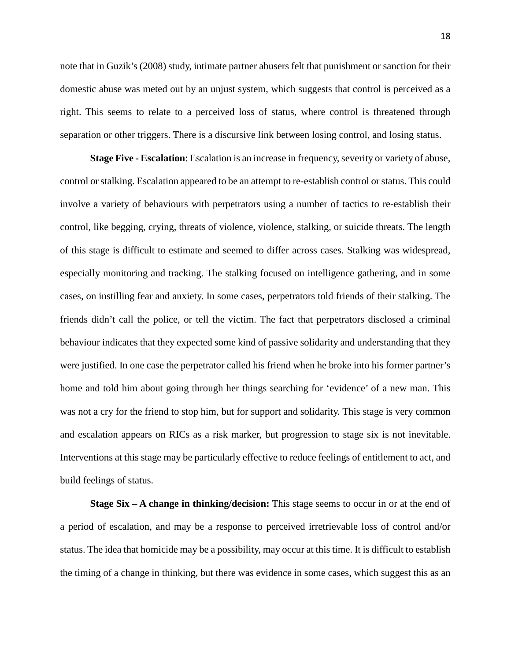note that in Guzik's (2008) study, intimate partner abusers felt that punishment or sanction for their domestic abuse was meted out by an unjust system, which suggests that control is perceived as a right. This seems to relate to a perceived loss of status, where control is threatened through separation or other triggers. There is a discursive link between losing control, and losing status.

**Stage Five - Escalation**: Escalation is an increase in frequency, severity or variety of abuse, control or stalking. Escalation appeared to be an attempt to re-establish control or status. This could involve a variety of behaviours with perpetrators using a number of tactics to re-establish their control, like begging, crying, threats of violence, violence, stalking, or suicide threats. The length of this stage is difficult to estimate and seemed to differ across cases. Stalking was widespread, especially monitoring and tracking. The stalking focused on intelligence gathering, and in some cases, on instilling fear and anxiety. In some cases, perpetrators told friends of their stalking. The friends didn't call the police, or tell the victim. The fact that perpetrators disclosed a criminal behaviour indicates that they expected some kind of passive solidarity and understanding that they were justified. In one case the perpetrator called his friend when he broke into his former partner's home and told him about going through her things searching for 'evidence' of a new man. This was not a cry for the friend to stop him, but for support and solidarity. This stage is very common and escalation appears on RICs as a risk marker, but progression to stage six is not inevitable. Interventions at this stage may be particularly effective to reduce feelings of entitlement to act, and build feelings of status.

**Stage Six – A change in thinking/decision:** This stage seems to occur in or at the end of a period of escalation, and may be a response to perceived irretrievable loss of control and/or status. The idea that homicide may be a possibility, may occur at this time. It is difficult to establish the timing of a change in thinking, but there was evidence in some cases, which suggest this as an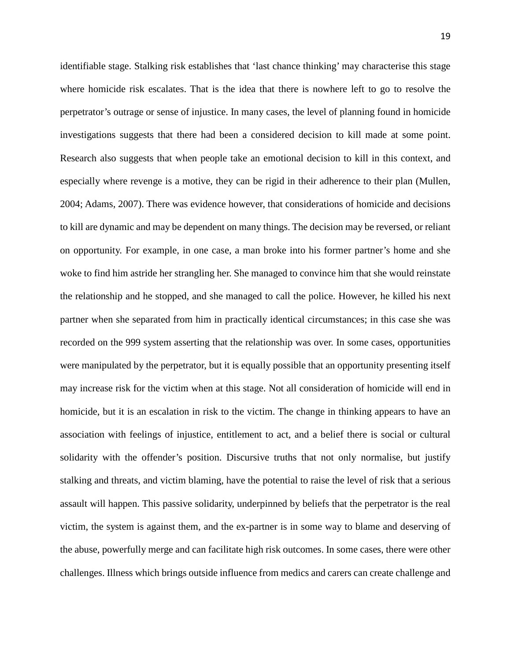identifiable stage. Stalking risk establishes that 'last chance thinking' may characterise this stage where homicide risk escalates. That is the idea that there is nowhere left to go to resolve the perpetrator's outrage or sense of injustice. In many cases, the level of planning found in homicide investigations suggests that there had been a considered decision to kill made at some point. Research also suggests that when people take an emotional decision to kill in this context, and especially where revenge is a motive, they can be rigid in their adherence to their plan (Mullen, 2004; Adams, 2007). There was evidence however, that considerations of homicide and decisions to kill are dynamic and may be dependent on many things. The decision may be reversed, or reliant on opportunity. For example, in one case, a man broke into his former partner's home and she woke to find him astride her strangling her. She managed to convince him that she would reinstate the relationship and he stopped, and she managed to call the police. However, he killed his next partner when she separated from him in practically identical circumstances; in this case she was recorded on the 999 system asserting that the relationship was over. In some cases, opportunities were manipulated by the perpetrator, but it is equally possible that an opportunity presenting itself may increase risk for the victim when at this stage. Not all consideration of homicide will end in homicide, but it is an escalation in risk to the victim. The change in thinking appears to have an association with feelings of injustice, entitlement to act, and a belief there is social or cultural solidarity with the offender's position. Discursive truths that not only normalise, but justify stalking and threats, and victim blaming, have the potential to raise the level of risk that a serious assault will happen. This passive solidarity, underpinned by beliefs that the perpetrator is the real victim, the system is against them, and the ex-partner is in some way to blame and deserving of the abuse, powerfully merge and can facilitate high risk outcomes. In some cases, there were other challenges. Illness which brings outside influence from medics and carers can create challenge and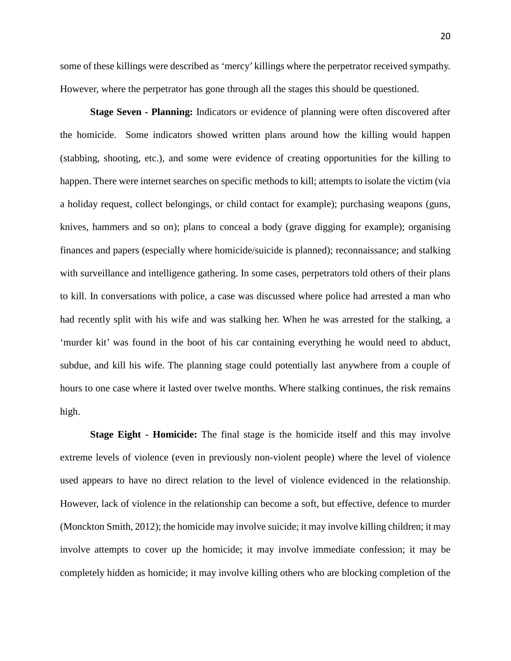20

some of these killings were described as 'mercy' killings where the perpetrator received sympathy. However, where the perpetrator has gone through all the stages this should be questioned.

**Stage Seven - Planning:** Indicators or evidence of planning were often discovered after the homicide. Some indicators showed written plans around how the killing would happen (stabbing, shooting, etc.), and some were evidence of creating opportunities for the killing to happen. There were internet searches on specific methods to kill; attempts to isolate the victim (via a holiday request, collect belongings, or child contact for example); purchasing weapons (guns, knives, hammers and so on); plans to conceal a body (grave digging for example); organising finances and papers (especially where homicide/suicide is planned); reconnaissance; and stalking with surveillance and intelligence gathering. In some cases, perpetrators told others of their plans to kill. In conversations with police, a case was discussed where police had arrested a man who had recently split with his wife and was stalking her. When he was arrested for the stalking, a 'murder kit' was found in the boot of his car containing everything he would need to abduct, subdue, and kill his wife. The planning stage could potentially last anywhere from a couple of hours to one case where it lasted over twelve months. Where stalking continues, the risk remains high.

**Stage Eight - Homicide:** The final stage is the homicide itself and this may involve extreme levels of violence (even in previously non-violent people) where the level of violence used appears to have no direct relation to the level of violence evidenced in the relationship. However, lack of violence in the relationship can become a soft, but effective, defence to murder (Monckton Smith, 2012); the homicide may involve suicide; it may involve killing children; it may involve attempts to cover up the homicide; it may involve immediate confession; it may be completely hidden as homicide; it may involve killing others who are blocking completion of the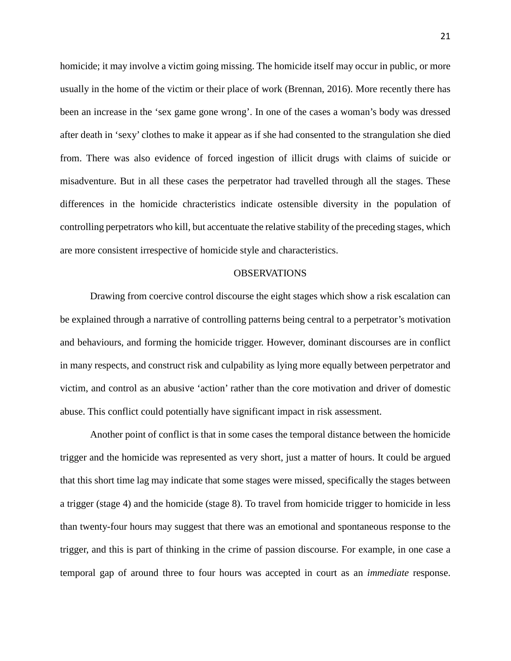homicide; it may involve a victim going missing. The homicide itself may occur in public, or more usually in the home of the victim or their place of work (Brennan, 2016). More recently there has been an increase in the 'sex game gone wrong'. In one of the cases a woman's body was dressed after death in 'sexy' clothes to make it appear as if she had consented to the strangulation she died from. There was also evidence of forced ingestion of illicit drugs with claims of suicide or misadventure. But in all these cases the perpetrator had travelled through all the stages. These differences in the homicide chracteristics indicate ostensible diversity in the population of controlling perpetrators who kill, but accentuate the relative stability of the preceding stages, which are more consistent irrespective of homicide style and characteristics.

#### OBSERVATIONS

Drawing from coercive control discourse the eight stages which show a risk escalation can be explained through a narrative of controlling patterns being central to a perpetrator's motivation and behaviours, and forming the homicide trigger. However, dominant discourses are in conflict in many respects, and construct risk and culpability as lying more equally between perpetrator and victim, and control as an abusive 'action' rather than the core motivation and driver of domestic abuse. This conflict could potentially have significant impact in risk assessment.

Another point of conflict is that in some cases the temporal distance between the homicide trigger and the homicide was represented as very short, just a matter of hours. It could be argued that this short time lag may indicate that some stages were missed, specifically the stages between a trigger (stage 4) and the homicide (stage 8). To travel from homicide trigger to homicide in less than twenty-four hours may suggest that there was an emotional and spontaneous response to the trigger, and this is part of thinking in the crime of passion discourse. For example, in one case a temporal gap of around three to four hours was accepted in court as an *immediate* response.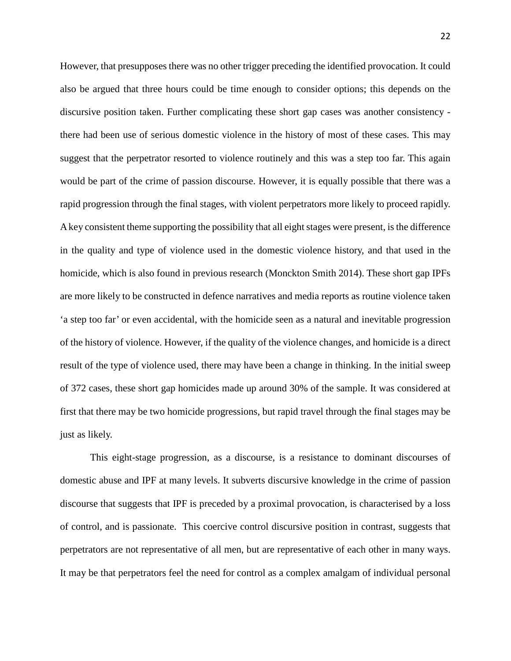However, that presupposes there was no other trigger preceding the identified provocation. It could also be argued that three hours could be time enough to consider options; this depends on the discursive position taken. Further complicating these short gap cases was another consistency there had been use of serious domestic violence in the history of most of these cases. This may suggest that the perpetrator resorted to violence routinely and this was a step too far. This again would be part of the crime of passion discourse. However, it is equally possible that there was a rapid progression through the final stages, with violent perpetrators more likely to proceed rapidly. A key consistent theme supporting the possibility that all eight stages were present, is the difference in the quality and type of violence used in the domestic violence history, and that used in the homicide, which is also found in previous research (Monckton Smith 2014). These short gap IPFs are more likely to be constructed in defence narratives and media reports as routine violence taken 'a step too far' or even accidental, with the homicide seen as a natural and inevitable progression of the history of violence. However, if the quality of the violence changes, and homicide is a direct result of the type of violence used, there may have been a change in thinking. In the initial sweep of 372 cases, these short gap homicides made up around 30% of the sample. It was considered at first that there may be two homicide progressions, but rapid travel through the final stages may be just as likely.

This eight-stage progression, as a discourse, is a resistance to dominant discourses of domestic abuse and IPF at many levels. It subverts discursive knowledge in the crime of passion discourse that suggests that IPF is preceded by a proximal provocation, is characterised by a loss of control, and is passionate. This coercive control discursive position in contrast, suggests that perpetrators are not representative of all men, but are representative of each other in many ways. It may be that perpetrators feel the need for control as a complex amalgam of individual personal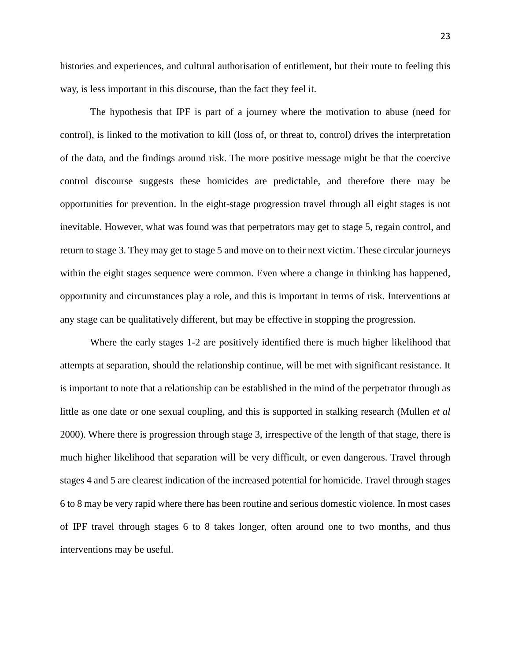histories and experiences, and cultural authorisation of entitlement, but their route to feeling this way, is less important in this discourse, than the fact they feel it.

The hypothesis that IPF is part of a journey where the motivation to abuse (need for control), is linked to the motivation to kill (loss of, or threat to, control) drives the interpretation of the data, and the findings around risk. The more positive message might be that the coercive control discourse suggests these homicides are predictable, and therefore there may be opportunities for prevention. In the eight-stage progression travel through all eight stages is not inevitable. However, what was found was that perpetrators may get to stage 5, regain control, and return to stage 3. They may get to stage 5 and move on to their next victim. These circular journeys within the eight stages sequence were common. Even where a change in thinking has happened, opportunity and circumstances play a role, and this is important in terms of risk. Interventions at any stage can be qualitatively different, but may be effective in stopping the progression.

Where the early stages 1-2 are positively identified there is much higher likelihood that attempts at separation, should the relationship continue, will be met with significant resistance. It is important to note that a relationship can be established in the mind of the perpetrator through as little as one date or one sexual coupling, and this is supported in stalking research (Mullen *et al* 2000). Where there is progression through stage 3, irrespective of the length of that stage, there is much higher likelihood that separation will be very difficult, or even dangerous. Travel through stages 4 and 5 are clearest indication of the increased potential for homicide. Travel through stages 6 to 8 may be very rapid where there has been routine and serious domestic violence. In most cases of IPF travel through stages 6 to 8 takes longer, often around one to two months, and thus interventions may be useful.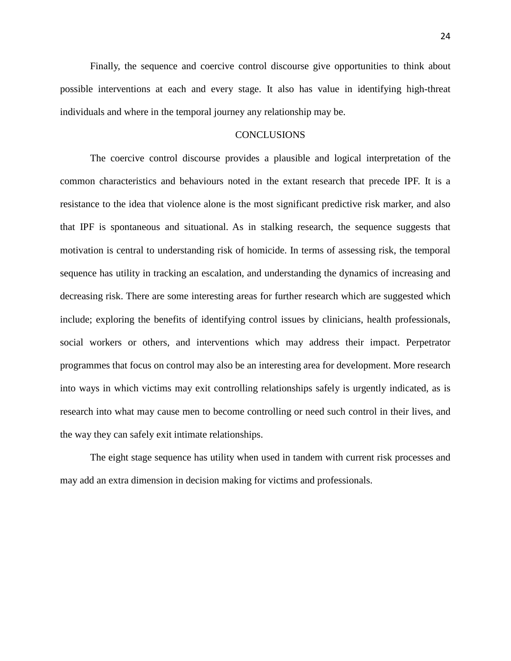Finally, the sequence and coercive control discourse give opportunities to think about possible interventions at each and every stage. It also has value in identifying high-threat individuals and where in the temporal journey any relationship may be.

#### **CONCLUSIONS**

The coercive control discourse provides a plausible and logical interpretation of the common characteristics and behaviours noted in the extant research that precede IPF. It is a resistance to the idea that violence alone is the most significant predictive risk marker, and also that IPF is spontaneous and situational. As in stalking research, the sequence suggests that motivation is central to understanding risk of homicide. In terms of assessing risk, the temporal sequence has utility in tracking an escalation, and understanding the dynamics of increasing and decreasing risk. There are some interesting areas for further research which are suggested which include; exploring the benefits of identifying control issues by clinicians, health professionals, social workers or others, and interventions which may address their impact. Perpetrator programmes that focus on control may also be an interesting area for development. More research into ways in which victims may exit controlling relationships safely is urgently indicated, as is research into what may cause men to become controlling or need such control in their lives, and the way they can safely exit intimate relationships.

The eight stage sequence has utility when used in tandem with current risk processes and may add an extra dimension in decision making for victims and professionals.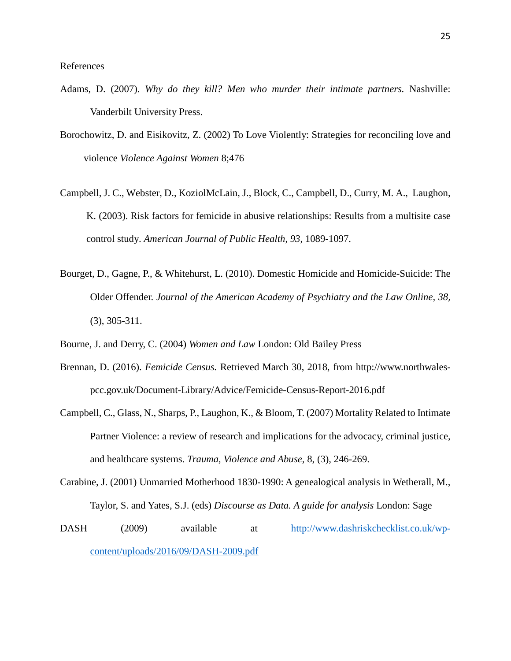- Adams, D. (2007). *Why do they kill? Men who murder their intimate partners.* Nashville: Vanderbilt University Press.
- Borochowitz, D. and Eisikovitz, Z. (2002) To Love Violently: Strategies for reconciling love and violence *Violence Against Women* 8;476
- Campbell, J. C., Webster, D., KoziolMcLain, J., Block, C., Campbell, D., Curry, M. A., Laughon, K. (2003). Risk factors for femicide in abusive relationships: Results from a multisite case control study. *American Journal of Public Health*, *93*, 1089-1097.
- Bourget, D., Gagne, P., & Whitehurst, L. (2010). Domestic Homicide and Homicide-Suicide: The Older Offender. *Journal of the American Academy of Psychiatry and the Law Online, 38*, (3), 305-311.
- Bourne, J. and Derry, C. (2004) *Women and Law* London: Old Bailey Press
- Brennan, D. (2016). *Femicide Census.* Retrieved March 30, 2018, from [http://www.northwales](http://www.northwales-pcc.gov.uk/Document-Library/Advice/Femicide-Census-Report-2016.pdf)[pcc.gov.uk/Document-Library/Advice/Femicide-Census-Report-2016.pdf](http://www.northwales-pcc.gov.uk/Document-Library/Advice/Femicide-Census-Report-2016.pdf)
- Campbell, C., Glass, N., Sharps, P., Laughon, K., & Bloom, T. (2007) Mortality Related to Intimate Partner Violence: a review of research and implications for the advocacy, criminal justice, and healthcare systems. *Trauma, Violence and Abuse,* 8, (3), 246-269.
- Carabine, J. (2001) Unmarried Motherhood 1830-1990: A genealogical analysis in Wetherall, M., Taylor, S. and Yates, S.J. (eds) *Discourse as Data. A guide for analysis* London: Sage
- DASH (2009) available at [http://www.dashriskchecklist.co.uk/wp](http://www.dashriskchecklist.co.uk/wp-content/uploads/2016/09/DASH-2009.pdf)[content/uploads/2016/09/DASH-2009.pdf](http://www.dashriskchecklist.co.uk/wp-content/uploads/2016/09/DASH-2009.pdf)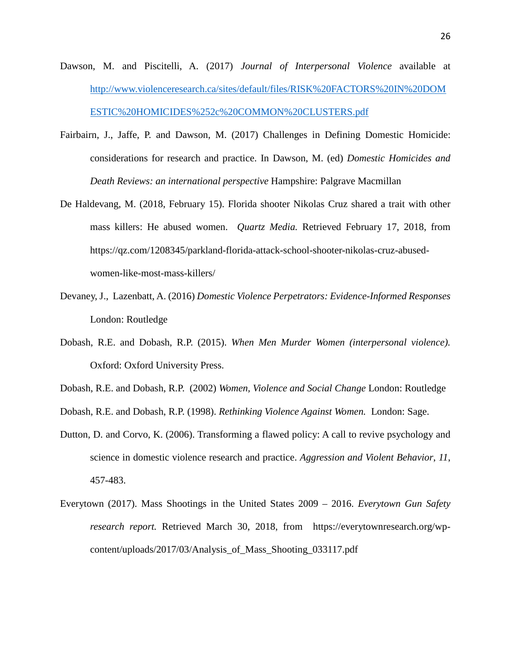- Dawson, M. and Piscitelli, A. (2017) *Journal of Interpersonal Violence* available at [http://www.violenceresearch.ca/sites/default/files/RISK%20FACTORS%20IN%20DOM](http://www.violenceresearch.ca/sites/default/files/RISK%20FACTORS%20IN%20DOMESTIC%20HOMICIDES%252c%20COMMON%20CLUSTERS.pdf) [ESTIC%20HOMICIDES%252c%20COMMON%20CLUSTERS.pdf](http://www.violenceresearch.ca/sites/default/files/RISK%20FACTORS%20IN%20DOMESTIC%20HOMICIDES%252c%20COMMON%20CLUSTERS.pdf)
- Fairbairn, J., Jaffe, P. and Dawson, M. (2017) Challenges in Defining Domestic Homicide: considerations for research and practice. In Dawson, M. (ed) *Domestic Homicides and Death Reviews: an international perspective* Hampshire: Palgrave Macmillan
- De Haldevang, M. (2018, February 15). Florida shooter Nikolas Cruz shared a trait with other mass killers: He abused women. *Quartz Media.* Retrieved February 17, 2018, from [https://qz.com/1208345/parkland-florida-attack-school-shooter-nikolas-cruz-abused](https://qz.com/1208345/parkland-florida-attack-school-shooter-nikolas-cruz-abused-women-like-most-mass-killers/)[women-like-most-mass-killers/](https://qz.com/1208345/parkland-florida-attack-school-shooter-nikolas-cruz-abused-women-like-most-mass-killers/)
- Devaney, J., Lazenbatt, A. (2016) *Domestic Violence Perpetrators: Evidence-Informed Responses* London: Routledge
- Dobash, R.E. and Dobash, R.P. (2015). *When Men Murder Women (interpersonal violence).* Oxford: Oxford University Press.
- Dobash, R.E. and Dobash, R.P. (2002) *Women, Violence and Social Change* London: Routledge
- Dobash, R.E. and Dobash, R.P. (1998). *Rethinking Violence Against Women.* London: Sage.
- Dutton, D. and Corvo, K. (2006). Transforming a flawed policy: A call to revive psychology and science in domestic violence research and practice. *Aggression and Violent Behavior*, *11*, 457-483.
- Everytown (2017). Mass Shootings in the United States 2009 2016. *Everytown Gun Safety research report.* Retrieved March 30, 2018, from [https://everytownresearch.org/wp](https://everytownresearch.org/wp-content/uploads/2017/03/Analysis_of_Mass_Shooting_033117.pdf)[content/uploads/2017/03/Analysis\\_of\\_Mass\\_Shooting\\_033117.pdf](https://everytownresearch.org/wp-content/uploads/2017/03/Analysis_of_Mass_Shooting_033117.pdf)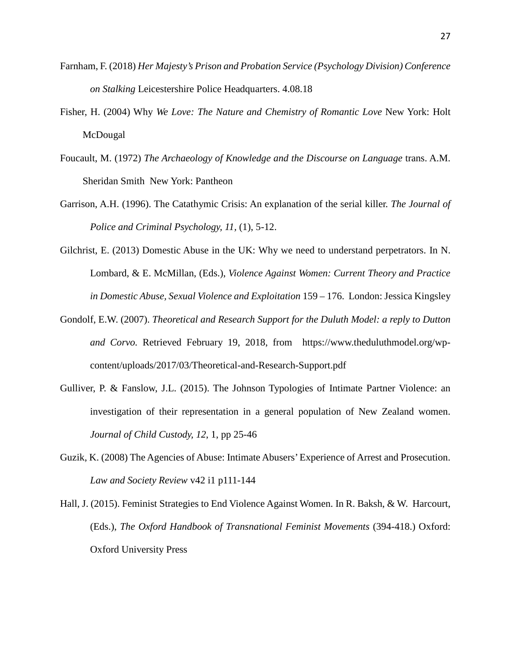- Farnham, F. (2018) *Her Majesty's Prison and Probation Service (Psychology Division) Conference on Stalking* Leicestershire Police Headquarters. 4.08.18
- Fisher, H. (2004) Why *We Love: The Nature and Chemistry of Romantic Love* New York: Holt McDougal
- Foucault, M. (1972) *The Archaeology of Knowledge and the Discourse on Language* trans. A.M. Sheridan Smith New York: Pantheon
- Garrison, A.H. (1996). The Catathymic Crisis: An explanation of the serial killer. *The Journal of Police and Criminal Psychology, 11,* (1), 5-12.
- Gilchrist, E. (2013) Domestic Abuse in the UK: Why we need to understand perpetrators. In N. Lombard, & E. McMillan, (Eds.), *Violence Against Women: Current Theory and Practice in Domestic Abuse, Sexual Violence and Exploitation* 159 – 176. London: Jessica Kingsley
- Gondolf, E.W. (2007). *Theoretical and Research Support for the Duluth Model: a reply to Dutton and Corvo.* Retrieved February 19, 2018, from [https://www.theduluthmodel.org/wp](https://www.theduluthmodel.org/wp-content/uploads/2017/03/Theoretical-and-Research-Support.pdf)[content/uploads/2017/03/Theoretical-and-Research-Support.pdf](https://www.theduluthmodel.org/wp-content/uploads/2017/03/Theoretical-and-Research-Support.pdf)
- Gulliver, P. & Fanslow, J.L. (2015). The Johnson Typologies of Intimate Partner Violence: an investigation of their representation in a general population of New Zealand women. *Journal of Child Custody, 12*, 1, pp 25-46
- Guzik, K. (2008) The Agencies of Abuse: Intimate Abusers' Experience of Arrest and Prosecution. *Law and Society Review* v42 i1 p111-144

Hall, J. (2015). Feminist Strategies to End Violence Against Women. In R. Baksh, & W. Harcourt, (Eds.), *The Oxford Handbook of Transnational Feminist Movements* (394-418.) Oxford: Oxford University Press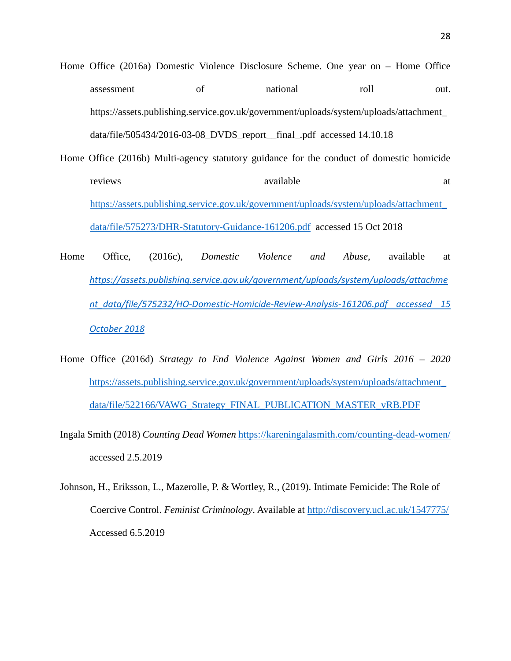- Home Office (2016a) Domestic Violence Disclosure Scheme. One year on Home Office assessment of national roll out. [https://assets.publishing.service.gov.uk/government/uploads/system/uploads/attachment\\_](https://assets.publishing.service.gov.uk/government/uploads/system/uploads/attachment_data/file/505434/2016-03-08_DVDS_report__final_.pdf) [data/file/505434/2016-03-08\\_DVDS\\_report\\_\\_final\\_.pdf](https://assets.publishing.service.gov.uk/government/uploads/system/uploads/attachment_data/file/505434/2016-03-08_DVDS_report__final_.pdf) accessed 14.10.18
- Home Office (2016b) Multi-agency statutory guidance for the conduct of domestic homicide reviews available at a state of  $\alpha$  at a state  $\alpha$  at a state  $\alpha$  at a state  $\alpha$  at a state  $\alpha$  at a state  $\alpha$  at a state  $\alpha$  at a state  $\alpha$  and  $\alpha$  at a state  $\alpha$  at a state  $\alpha$  and  $\alpha$  at a state  $\alpha$  and  $\alpha$ https://assets.publishing.service.gov.uk/government/uploads/system/uploads/attachment [data/file/575273/DHR-Statutory-Guidance-161206.pdf](https://assets.publishing.service.gov.uk/government/uploads/system/uploads/attachment_data/file/575273/DHR-Statutory-Guidance-161206.pdf) accessed 15 Oct 2018
- Home Office, (2016c), *Domestic Violence and Abuse*, available at *[https://assets.publishing.service.gov.uk/government/uploads/system/uploads/attachme](https://assets.publishing.service.gov.uk/government/uploads/system/uploads/attachment_data/file/575232/HO-Domestic-Homicide-Review-Analysis-161206.pdf%20accessed%2015%20October%202018) [nt\\_data/file/575232/HO-Domestic-Homicide-Review-Analysis-161206.pdf accessed 15](https://assets.publishing.service.gov.uk/government/uploads/system/uploads/attachment_data/file/575232/HO-Domestic-Homicide-Review-Analysis-161206.pdf%20accessed%2015%20October%202018)  [October 2018](https://assets.publishing.service.gov.uk/government/uploads/system/uploads/attachment_data/file/575232/HO-Domestic-Homicide-Review-Analysis-161206.pdf%20accessed%2015%20October%202018)*
- Home Office (2016d) *Strategy to End Violence Against Women and Girls 2016 – 2020* [https://assets.publishing.service.gov.uk/government/uploads/system/uploads/attachment\\_](https://assets.publishing.service.gov.uk/government/uploads/system/uploads/attachment_data/file/522166/VAWG_Strategy_FINAL_PUBLICATION_MASTER_vRB.PDF) [data/file/522166/VAWG\\_Strategy\\_FINAL\\_PUBLICATION\\_MASTER\\_vRB.PDF](https://assets.publishing.service.gov.uk/government/uploads/system/uploads/attachment_data/file/522166/VAWG_Strategy_FINAL_PUBLICATION_MASTER_vRB.PDF)
- Ingala Smith (2018) *Counting Dead Women* <https://kareningalasmith.com/counting-dead-women/> accessed 2.5.2019
- Johnson, H., Eriksson, L., Mazerolle, P. & Wortley, R., (2019). Intimate Femicide: The Role of Coercive Control. *Feminist Criminology*. Available at<http://discovery.ucl.ac.uk/1547775/> Accessed 6.5.2019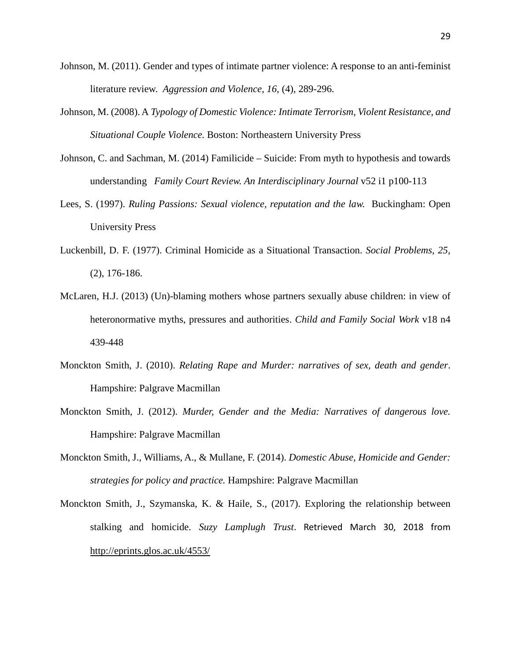- Johnson, M. (2011). Gender and types of intimate partner violence: A response to an anti-feminist literature review. *Aggression and Violence, 16*[, \(4\)](http://www.sciencedirect.com.glos.idm.oclc.org/science/journal/13591789/16/4), 289-296.
- Johnson, M. (2008). A *Typology of Domestic Violence: Intimate Terrorism, Violent Resistance, and Situational Couple Violence.* Boston: Northeastern University Press
- Johnson, C. and Sachman, M. (2014) Familicide Suicide: From myth to hypothesis and towards understanding *Family Court Review. An Interdisciplinary Journal* v52 i1 p100-113
- Lees, S. (1997). *Ruling Passions: Sexual violence, reputation and the law.* Buckingham: Open University Press
- Luckenbill, D. F. (1977). Criminal Homicide as a Situational Transaction. *Social Problems, 25,*  (2), 176-186.
- McLaren, H.J. (2013) (Un)-blaming mothers whose partners sexually abuse children: in view of heteronormative myths, pressures and authorities. *Child and Family Social Work* v18 n4 439-448
- Monckton Smith, J. (2010). *Relating Rape and Murder: narratives of sex, death and gender*. Hampshire: Palgrave Macmillan
- Monckton Smith, J. (2012). *Murder, Gender and the Media: Narratives of dangerous love.* Hampshire: Palgrave Macmillan
- Monckton Smith, J., Williams, A., & Mullane, F. (2014). *Domestic Abuse, Homicide and Gender: strategies for policy and practice.* Hampshire: Palgrave Macmillan
- Monckton Smith, J., Szymanska, K. & Haile, S., (2017). Exploring the relationship between stalking and homicide. *Suzy Lamplugh Trust*. Retrieved March 30, 2018 from <http://eprints.glos.ac.uk/4553/>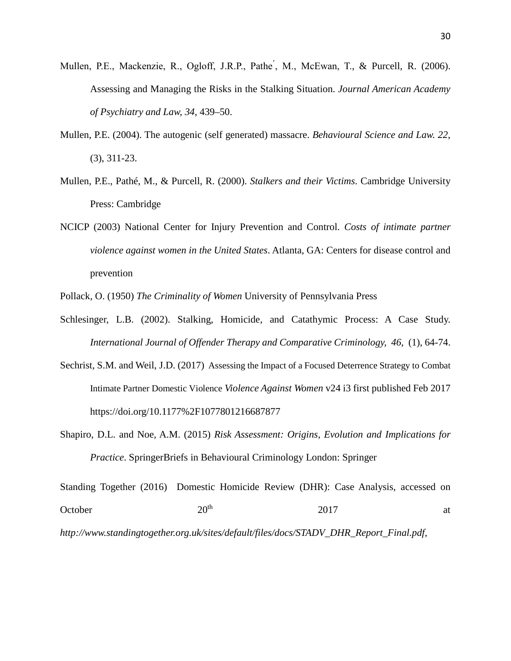- Mullen, P.E., Mackenzie, R., Ogloff, J.R.P., Pathe<sup>'</sup>, M., McEwan, T., & Purcell, R. (2006). Assessing and Managing the Risks in the Stalking Situation. *Journal American Academy of Psychiatry and Law, 34*, 439–50.
- Mullen, P.E. (2004). The autogenic (self generated) massacre. *[Behavioural Science and Law.](https://www.ncbi.nlm.nih.gov/pubmed/15211554) 22*, (3), 311-23.
- Mullen, P.E., Pathé, M., & Purcell, R. (2000). *Stalkers and their Victims*. Cambridge University Press: Cambridge
- NCICP (2003) National Center for Injury Prevention and Control. *Costs of intimate partner violence against women in the United States*. Atlanta, GA: Centers for disease control and prevention

Pollack, O. (1950) *The Criminality of Women* University of Pennsylvania Press

- Schlesinger, L.B. (2002). Stalking, Homicide, and Catathymic Process: A Case Study. *International Journal of Offender Therapy and Comparative Criminology, 46*, (1), 64-74.
- Sechrist, S.M. and Weil, J.D. (2017) Assessing the Impact of a Focused Deterrence Strategy to Combat Intimate Partner Domestic Violence *Violence Against Women* v24 i3 first published Feb 2017 https://doi.org/10.1177%2F1077801216687877
- Shapiro, D.L. and Noe, A.M. (2015) *Risk Assessment: Origins, Evolution and Implications for Practice*. SpringerBriefs in Behavioural Criminology London: Springer

Standing Together (2016) Domestic Homicide Review (DHR): Case Analysis, accessed on October  $20^{th}$   $2017$  at *[http://www.standingtogether.org.uk/sites/default/files/docs/STADV\\_DHR\\_Report\\_Final.pdf,](http://www.standingtogether.org.uk/sites/default/files/docs/STADV_DHR_Report_Final.pdf)*